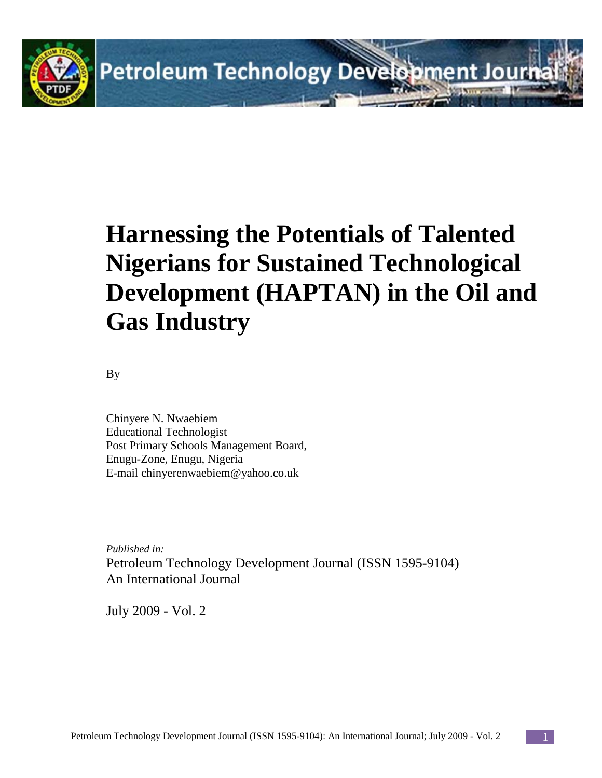

# **Harnessing the Potentials of Talented Nigerians for Sustained Technological Development (HAPTAN) in the Oil and Gas Industry**

By

Chinyere N. Nwaebiem Educational Technologist Post Primary Schools Management Board, Enugu-Zone, Enugu, Nigeria E-mail chinyerenwaebiem@yahoo.co.uk

*Published in:* Petroleum Technology Development Journal (ISSN 1595-9104) An International Journal

July 2009 - Vol. 2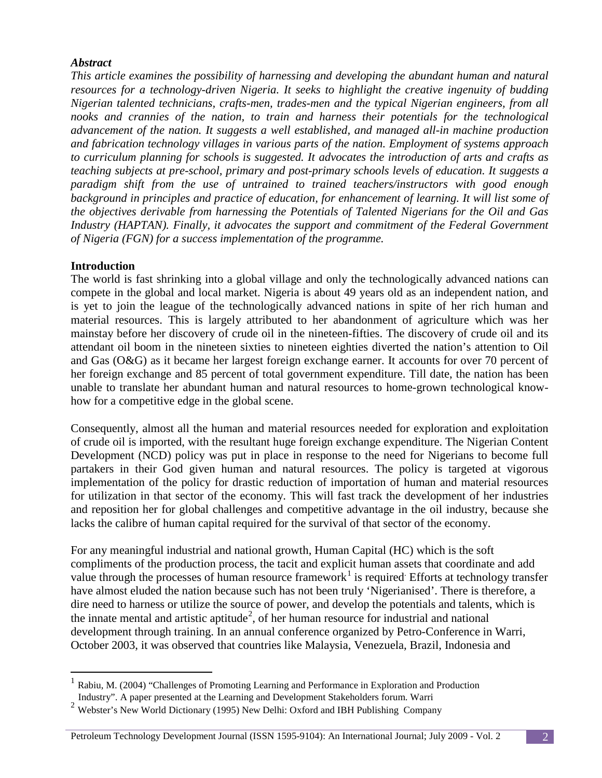### *Abstract*

*This article examines the possibility of harnessing and developing the abundant human and natural resources for a technology-driven Nigeria. It seeks to highlight the creative ingenuity of budding Nigerian talented technicians, crafts-men, trades-men and the typical Nigerian engineers, from all nooks and crannies of the nation, to train and harness their potentials for the technological advancement of the nation. It suggests a well established, and managed all-in machine production and fabrication technology villages in various parts of the nation. Employment of systems approach to curriculum planning for schools is suggested. It advocates the introduction of arts and crafts as teaching subjects at pre-school, primary and post-primary schools levels of education. It suggests a paradigm shift from the use of untrained to trained teachers/instructors with good enough*  background in principles and practice of education, for enhancement of learning. It will list some of *the objectives derivable from harnessing the Potentials of Talented Nigerians for the Oil and Gas Industry (HAPTAN). Finally, it advocates the support and commitment of the Federal Government of Nigeria (FGN) for a success implementation of the programme.*

### **Introduction**

The world is fast shrinking into a global village and only the technologically advanced nations can compete in the global and local market. Nigeria is about 49 years old as an independent nation, and is yet to join the league of the technologically advanced nations in spite of her rich human and material resources. This is largely attributed to her abandonment of agriculture which was her mainstay before her discovery of crude oil in the nineteen-fifties. The discovery of crude oil and its attendant oil boom in the nineteen sixties to nineteen eighties diverted the nation's attention to Oil and Gas (O&G) as it became her largest foreign exchange earner. It accounts for over 70 percent of her foreign exchange and 85 percent of total government expenditure. Till date, the nation has been unable to translate her abundant human and natural resources to home-grown technological knowhow for a competitive edge in the global scene.

Consequently, almost all the human and material resources needed for exploration and exploitation of crude oil is imported, with the resultant huge foreign exchange expenditure. The Nigerian Content Development (NCD) policy was put in place in response to the need for Nigerians to become full partakers in their God given human and natural resources. The policy is targeted at vigorous implementation of the policy for drastic reduction of importation of human and material resources for utilization in that sector of the economy. This will fast track the development of her industries and reposition her for global challenges and competitive advantage in the oil industry, because she lacks the calibre of human capital required for the survival of that sector of the economy.

For any meaningful industrial and national growth, Human Capital (HC) which is the soft compliments of the production process, the tacit and explicit human assets that coordinate and add value through the processes of human resource framework<sup>[1](#page-1-0)</sup> is required. Efforts at technology transfer have almost eluded the nation because such has not been truly 'Nigerianised'. There is therefore, a dire need to harness or utilize the source of power, and develop the potentials and talents, which is the innate mental and artistic aptitude<sup>[2](#page-1-1)</sup>, of her human resource for industrial and national development through training. In an annual conference organized by Petro-Conference in Warri, October 2003, it was observed that countries like Malaysia, Venezuela, Brazil, Indonesia and

#### Petroleum Technology Development Journal (ISSN 1595-9104): An International Journal; July 2009 - Vol. 2 2

<span id="page-1-0"></span> <sup>1</sup> Rabiu, M. (2004) "Challenges of Promoting Learning and Performance in Exploration and Production Industry". A paper presented at the Learning and Development Stakeholders forum. Warri

<span id="page-1-1"></span><sup>&</sup>lt;sup>2</sup> Webster's New World Dictionary (1995) New Delhi: Oxford and IBH Publishing Company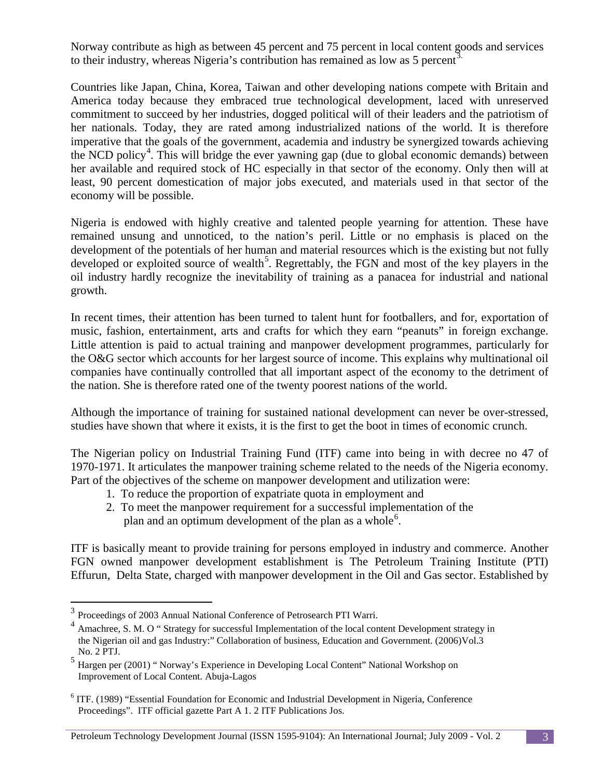Norway contribute as high as between 45 percent and 75 percent in local content goods and services to their industry, whereas Nigeria's contribution has remained as low as 5 percent<sup>3</sup>.

Countries like Japan, China, Korea, Taiwan and other developing nations compete with Britain and America today because they embraced true technological development, laced with unreserved commitment to succeed by her industries, dogged political will of their leaders and the patriotism of her nationals. Today, they are rated among industrialized nations of the world. It is therefore imperative that the goals of the government, academia and industry be synergized towards achieving the NCD policy<sup>[4](#page-2-1)</sup>. This will bridge the ever yawning gap (due to global economic demands) between her available and required stock of HC especially in that sector of the economy. Only then will at least, 90 percent domestication of major jobs executed, and materials used in that sector of the economy will be possible.

Nigeria is endowed with highly creative and talented people yearning for attention. These have remained unsung and unnoticed, to the nation's peril. Little or no emphasis is placed on the development of the potentials of her human and material resources which is the existing but not fully developed or exploited source of wealth<sup>[5](#page-2-2)</sup>. Regrettably, the FGN and most of the key players in the oil industry hardly recognize the inevitability of training as a panacea for industrial and national growth.

In recent times, their attention has been turned to talent hunt for footballers, and for, exportation of music, fashion, entertainment, arts and crafts for which they earn "peanuts" in foreign exchange. Little attention is paid to actual training and manpower development programmes, particularly for the O&G sector which accounts for her largest source of income. This explains why multinational oil companies have continually controlled that all important aspect of the economy to the detriment of the nation. She is therefore rated one of the twenty poorest nations of the world.

Although the importance of training for sustained national development can never be over-stressed, studies have shown that where it exists, it is the first to get the boot in times of economic crunch.

The Nigerian policy on Industrial Training Fund (ITF) came into being in with decree no 47 of 1970-1971. It articulates the manpower training scheme related to the needs of the Nigeria economy. Part of the objectives of the scheme on manpower development and utilization were:

- 1. To reduce the proportion of expatriate quota in employment and
- 2. To meet the manpower requirement for a successful implementation of the plan and an optimum development of the plan as a whole<sup>[6](#page-2-3)</sup>.

ITF is basically meant to provide training for persons employed in industry and commerce. Another FGN owned manpower development establishment is The Petroleum Training Institute (PTI) Effurun, Delta State, charged with manpower development in the Oil and Gas sector. Established by

<span id="page-2-0"></span> $^3$  Proceedings of 2003 Annual National Conference of Petrosearch PTI Warri.

<span id="page-2-1"></span><sup>4</sup> Amachree, S. M. O " Strategy for successful Implementation of the local content Development strategy in the Nigerian oil and gas Industry:" Collaboration of business, Education and Government. (2006)Vol.3

<span id="page-2-2"></span>No. 2 PTJ.<br>5 Hargen per (2001) " Norway's Experience in Developing Local Content" National Workshop on Improvement of Local Content. Abuja-Lagos

<span id="page-2-3"></span><sup>6</sup> ITF. (1989) "Essential Foundation for Economic and Industrial Development in Nigeria, Conference Proceedings". ITF official gazette Part A 1. 2 ITF Publications Jos.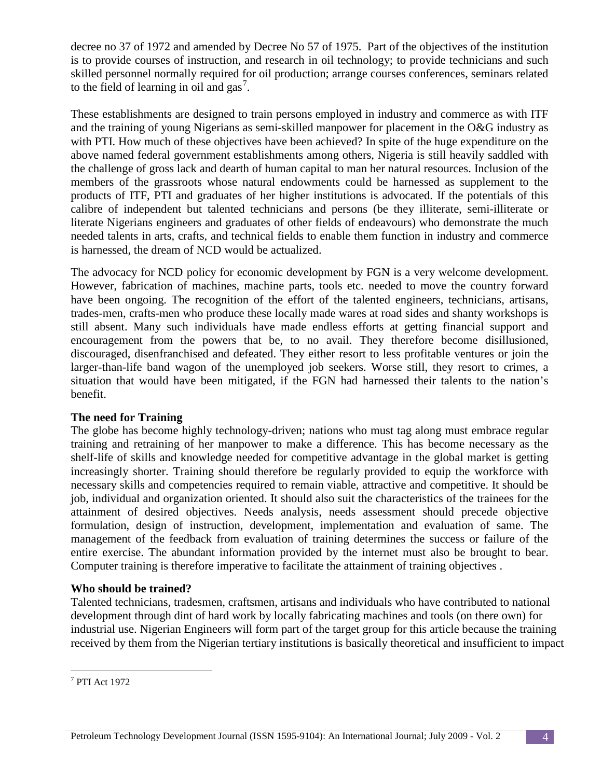decree no 37 of 1972 and amended by Decree No 57 of 1975. Part of the objectives of the institution is to provide courses of instruction, and research in oil technology; to provide technicians and such skilled personnel normally required for oil production; arrange courses conferences, seminars related to the field of learning in oil and  $\text{gas}^7$  $\text{gas}^7$ .

These establishments are designed to train persons employed in industry and commerce as with ITF and the training of young Nigerians as semi-skilled manpower for placement in the O&G industry as with PTI. How much of these objectives have been achieved? In spite of the huge expenditure on the above named federal government establishments among others, Nigeria is still heavily saddled with the challenge of gross lack and dearth of human capital to man her natural resources. Inclusion of the members of the grassroots whose natural endowments could be harnessed as supplement to the products of ITF, PTI and graduates of her higher institutions is advocated. If the potentials of this calibre of independent but talented technicians and persons (be they illiterate, semi-illiterate or literate Nigerians engineers and graduates of other fields of endeavours) who demonstrate the much needed talents in arts, crafts, and technical fields to enable them function in industry and commerce is harnessed, the dream of NCD would be actualized.

The advocacy for NCD policy for economic development by FGN is a very welcome development. However, fabrication of machines, machine parts, tools etc. needed to move the country forward have been ongoing. The recognition of the effort of the talented engineers, technicians, artisans, trades-men, crafts-men who produce these locally made wares at road sides and shanty workshops is still absent. Many such individuals have made endless efforts at getting financial support and encouragement from the powers that be, to no avail. They therefore become disillusioned, discouraged, disenfranchised and defeated. They either resort to less profitable ventures or join the larger-than-life band wagon of the unemployed job seekers. Worse still, they resort to crimes, a situation that would have been mitigated, if the FGN had harnessed their talents to the nation's benefit.

## **The need for Training**

The globe has become highly technology-driven; nations who must tag along must embrace regular training and retraining of her manpower to make a difference. This has become necessary as the shelf-life of skills and knowledge needed for competitive advantage in the global market is getting increasingly shorter. Training should therefore be regularly provided to equip the workforce with necessary skills and competencies required to remain viable, attractive and competitive. It should be job, individual and organization oriented. It should also suit the characteristics of the trainees for the attainment of desired objectives. Needs analysis, needs assessment should precede objective formulation, design of instruction, development, implementation and evaluation of same. The management of the feedback from evaluation of training determines the success or failure of the entire exercise. The abundant information provided by the internet must also be brought to bear. Computer training is therefore imperative to facilitate the attainment of training objectives .

## **Who should be trained?**

Talented technicians, tradesmen, craftsmen, artisans and individuals who have contributed to national development through dint of hard work by locally fabricating machines and tools (on there own) for industrial use. Nigerian Engineers will form part of the target group for this article because the training received by them from the Nigerian tertiary institutions is basically theoretical and insufficient to impact

<span id="page-3-0"></span> <sup>7</sup> PTI Act 1972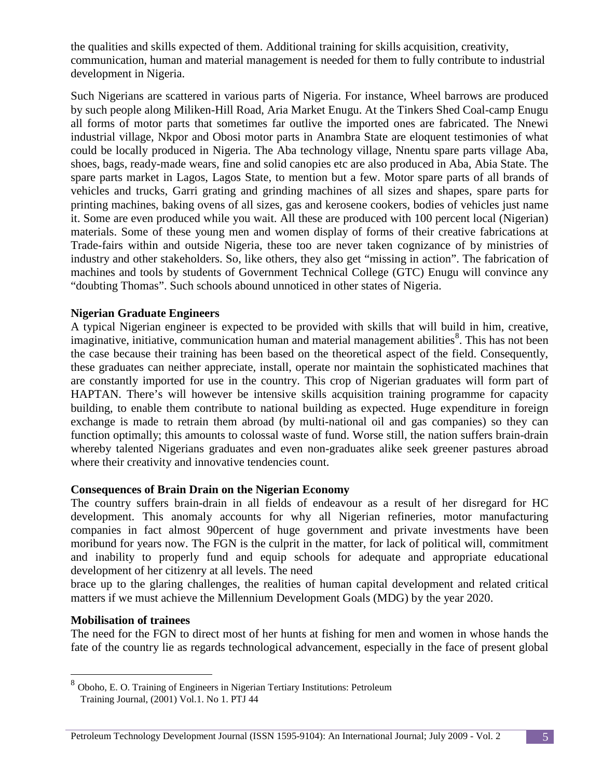the qualities and skills expected of them. Additional training for skills acquisition, creativity, communication, human and material management is needed for them to fully contribute to industrial development in Nigeria.

Such Nigerians are scattered in various parts of Nigeria. For instance, Wheel barrows are produced by such people along Miliken-Hill Road, Aria Market Enugu. At the Tinkers Shed Coal-camp Enugu all forms of motor parts that sometimes far outlive the imported ones are fabricated. The Nnewi industrial village, Nkpor and Obosi motor parts in Anambra State are eloquent testimonies of what could be locally produced in Nigeria. The Aba technology village, Nnentu spare parts village Aba, shoes, bags, ready-made wears, fine and solid canopies etc are also produced in Aba, Abia State. The spare parts market in Lagos, Lagos State, to mention but a few. Motor spare parts of all brands of vehicles and trucks, Garri grating and grinding machines of all sizes and shapes, spare parts for printing machines, baking ovens of all sizes, gas and kerosene cookers, bodies of vehicles just name it. Some are even produced while you wait. All these are produced with 100 percent local (Nigerian) materials. Some of these young men and women display of forms of their creative fabrications at Trade-fairs within and outside Nigeria, these too are never taken cognizance of by ministries of industry and other stakeholders. So, like others, they also get "missing in action". The fabrication of machines and tools by students of Government Technical College (GTC) Enugu will convince any "doubting Thomas". Such schools abound unnoticed in other states of Nigeria.

#### **Nigerian Graduate Engineers**

A typical Nigerian engineer is expected to be provided with skills that will build in him, creative, imaginative, initiative, communication human and material management abilities<sup>[8](#page-4-0)</sup>. This has not been the case because their training has been based on the theoretical aspect of the field. Consequently, these graduates can neither appreciate, install, operate nor maintain the sophisticated machines that are constantly imported for use in the country. This crop of Nigerian graduates will form part of HAPTAN. There's will however be intensive skills acquisition training programme for capacity building, to enable them contribute to national building as expected. Huge expenditure in foreign exchange is made to retrain them abroad (by multi-national oil and gas companies) so they can function optimally; this amounts to colossal waste of fund. Worse still, the nation suffers brain-drain whereby talented Nigerians graduates and even non-graduates alike seek greener pastures abroad where their creativity and innovative tendencies count.

## **Consequences of Brain Drain on the Nigerian Economy**

The country suffers brain-drain in all fields of endeavour as a result of her disregard for HC development. This anomaly accounts for why all Nigerian refineries, motor manufacturing companies in fact almost 90percent of huge government and private investments have been moribund for years now. The FGN is the culprit in the matter, for lack of political will, commitment and inability to properly fund and equip schools for adequate and appropriate educational development of her citizenry at all levels. The need

brace up to the glaring challenges, the realities of human capital development and related critical matters if we must achieve the Millennium Development Goals (MDG) by the year 2020.

#### **Mobilisation of trainees**

The need for the FGN to direct most of her hunts at fishing for men and women in whose hands the fate of the country lie as regards technological advancement, especially in the face of present global

<span id="page-4-0"></span> <sup>8</sup> Oboho, E. O. Training of Engineers in Nigerian Tertiary Institutions: Petroleum Training Journal, (2001) Vol.1. No 1. PTJ 44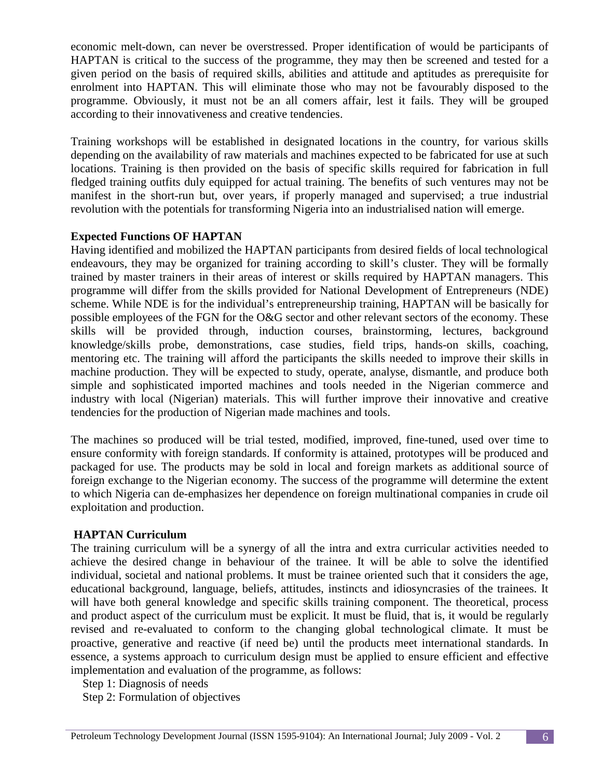economic melt-down, can never be overstressed. Proper identification of would be participants of HAPTAN is critical to the success of the programme, they may then be screened and tested for a given period on the basis of required skills, abilities and attitude and aptitudes as prerequisite for enrolment into HAPTAN. This will eliminate those who may not be favourably disposed to the programme. Obviously, it must not be an all comers affair, lest it fails. They will be grouped according to their innovativeness and creative tendencies.

Training workshops will be established in designated locations in the country, for various skills depending on the availability of raw materials and machines expected to be fabricated for use at such locations. Training is then provided on the basis of specific skills required for fabrication in full fledged training outfits duly equipped for actual training. The benefits of such ventures may not be manifest in the short-run but, over years, if properly managed and supervised; a true industrial revolution with the potentials for transforming Nigeria into an industrialised nation will emerge.

### **Expected Functions OF HAPTAN**

Having identified and mobilized the HAPTAN participants from desired fields of local technological endeavours, they may be organized for training according to skill's cluster. They will be formally trained by master trainers in their areas of interest or skills required by HAPTAN managers. This programme will differ from the skills provided for National Development of Entrepreneurs (NDE) scheme. While NDE is for the individual's entrepreneurship training, HAPTAN will be basically for possible employees of the FGN for the O&G sector and other relevant sectors of the economy. These skills will be provided through, induction courses, brainstorming, lectures, background knowledge/skills probe, demonstrations, case studies, field trips, hands-on skills, coaching, mentoring etc. The training will afford the participants the skills needed to improve their skills in machine production. They will be expected to study, operate, analyse, dismantle, and produce both simple and sophisticated imported machines and tools needed in the Nigerian commerce and industry with local (Nigerian) materials. This will further improve their innovative and creative tendencies for the production of Nigerian made machines and tools.

The machines so produced will be trial tested, modified, improved, fine-tuned, used over time to ensure conformity with foreign standards. If conformity is attained, prototypes will be produced and packaged for use. The products may be sold in local and foreign markets as additional source of foreign exchange to the Nigerian economy. The success of the programme will determine the extent to which Nigeria can de-emphasizes her dependence on foreign multinational companies in crude oil exploitation and production.

## **HAPTAN Curriculum**

The training curriculum will be a synergy of all the intra and extra curricular activities needed to achieve the desired change in behaviour of the trainee. It will be able to solve the identified individual, societal and national problems. It must be trainee oriented such that it considers the age, educational background, language, beliefs, attitudes, instincts and idiosyncrasies of the trainees. It will have both general knowledge and specific skills training component. The theoretical, process and product aspect of the curriculum must be explicit. It must be fluid, that is, it would be regularly revised and re-evaluated to conform to the changing global technological climate. It must be proactive, generative and reactive (if need be) until the products meet international standards. In essence, a systems approach to curriculum design must be applied to ensure efficient and effective implementation and evaluation of the programme, as follows:

Step 1: Diagnosis of needs

Step 2: Formulation of objectives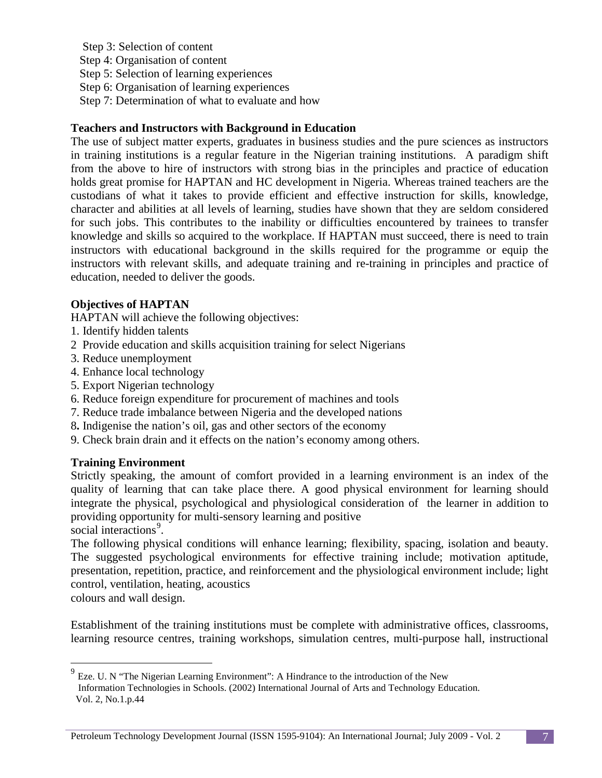Step 3: Selection of content Step 4: Organisation of content Step 5: Selection of learning experiences Step 6: Organisation of learning experiences Step 7: Determination of what to evaluate and how

### **Teachers and Instructors with Background in Education**

The use of subject matter experts, graduates in business studies and the pure sciences as instructors in training institutions is a regular feature in the Nigerian training institutions. A paradigm shift from the above to hire of instructors with strong bias in the principles and practice of education holds great promise for HAPTAN and HC development in Nigeria. Whereas trained teachers are the custodians of what it takes to provide efficient and effective instruction for skills, knowledge, character and abilities at all levels of learning, studies have shown that they are seldom considered for such jobs. This contributes to the inability or difficulties encountered by trainees to transfer knowledge and skills so acquired to the workplace. If HAPTAN must succeed, there is need to train instructors with educational background in the skills required for the programme or equip the instructors with relevant skills, and adequate training and re-training in principles and practice of education, needed to deliver the goods.

## **Objectives of HAPTAN**

HAPTAN will achieve the following objectives:

- 1. Identify hidden talents
- 2 Provide education and skills acquisition training for select Nigerians
- 3. Reduce unemployment
- 4. Enhance local technology
- 5. Export Nigerian technology
- 6. Reduce foreign expenditure for procurement of machines and tools
- 7. Reduce trade imbalance between Nigeria and the developed nations
- 8**.** Indigenise the nation's oil, gas and other sectors of the economy
- 9. Check brain drain and it effects on the nation's economy among others.

#### **Training Environment**

Strictly speaking, the amount of comfort provided in a learning environment is an index of the quality of learning that can take place there. A good physical environment for learning should integrate the physical, psychological and physiological consideration of the learner in addition to providing opportunity for multi-sensory learning and positive

social interactions<sup>[9](#page-6-0)</sup>.

The following physical conditions will enhance learning; flexibility, spacing, isolation and beauty. The suggested psychological environments for effective training include; motivation aptitude, presentation, repetition, practice, and reinforcement and the physiological environment include; light control, ventilation, heating, acoustics

colours and wall design.

Establishment of the training institutions must be complete with administrative offices, classrooms, learning resource centres, training workshops, simulation centres, multi-purpose hall, instructional

<span id="page-6-0"></span><sup>&</sup>lt;sup>9</sup> Eze. U. N "The Nigerian Learning Environment": A Hindrance to the introduction of the New Information Technologies in Schools. (2002) International Journal of Arts and Technology Education. Vol. 2, No.1.p.44